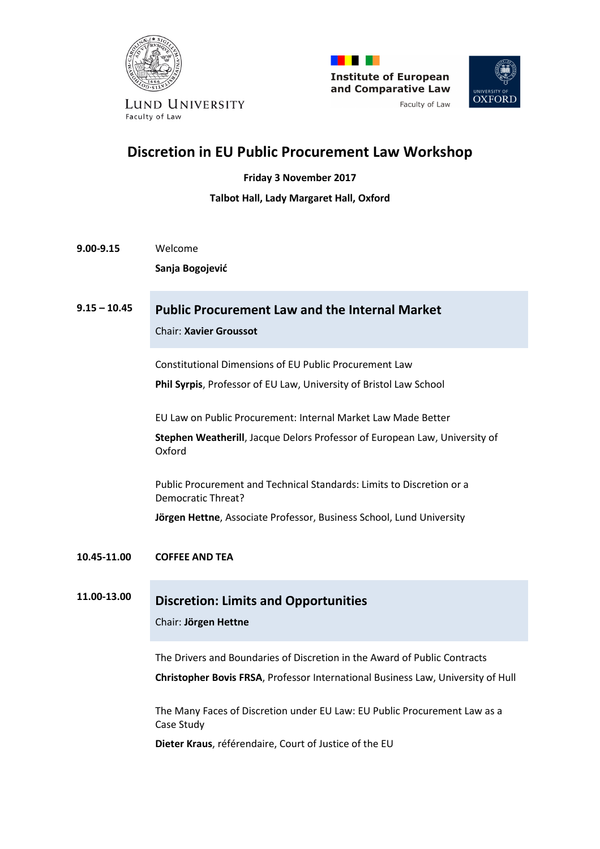





LUND UNIVERSITY Faculty of Law

# **Discretion in EU Public Procurement Law Workshop**

**Friday 3 November 2017**

#### **Talbot Hall, Lady Margaret Hall, Oxford**

**9.00-9.15** Welcome

**Sanja Bogojević**

# **9.15 – 10.45 Public Procurement Law and the Internal Market**

Chair: **Xavier Groussot**

Constitutional Dimensions of EU Public Procurement Law

**Phil Syrpis**, Professor of EU Law, University of Bristol Law School

EU Law on Public Procurement: Internal Market Law Made Better

**Stephen Weatherill**, Jacque Delors Professor of European Law, University of Oxford

Public Procurement and Technical Standards: Limits to Discretion or a Democratic Threat?

**Jörgen Hettne**, Associate Professor, Business School, Lund University

#### **10.45-11.00 COFFEE AND TEA**

## **11.00-13.00 Discretion: Limits and Opportunities**

#### Chair: **Jörgen Hettne**

The Drivers and Boundaries of Discretion in the Award of Public Contracts

**Christopher Bovis FRSA**, Professor International Business Law, University of Hull

The Many Faces of Discretion under EU Law: EU Public Procurement Law as a Case Study

**Dieter Kraus**, référendaire, Court of Justice of the EU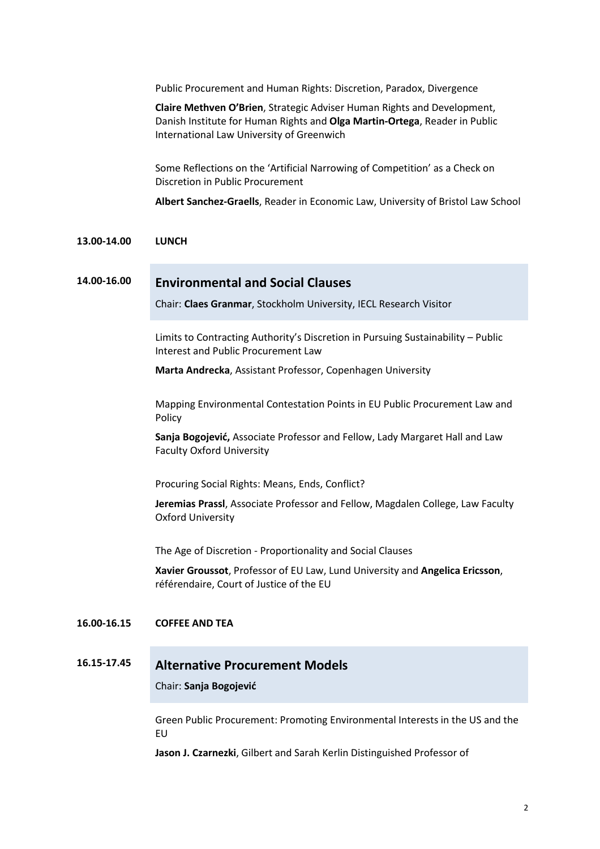Public Procurement and Human Rights: Discretion, Paradox, Divergence

**Claire Methven O'Brien**, Strategic Adviser Human Rights and Development, Danish Institute for Human Rights and **Olga Martin-Ortega**, Reader in Public International Law University of Greenwich

Some Reflections on the 'Artificial Narrowing of Competition' as a Check on Discretion in Public Procurement

**Albert Sanchez-Graells**, Reader in Economic Law, University of Bristol Law School

#### **13.00-14.00 LUNCH**

## **14.00-16.00 Environmental and Social Clauses**

Chair: **Claes Granmar**, Stockholm University, IECL Research Visitor

Limits to Contracting Authority's Discretion in Pursuing Sustainability – Public Interest and Public Procurement Law

**Marta Andrecka**, Assistant Professor, Copenhagen University

Mapping Environmental Contestation Points in EU Public Procurement Law and Policy

**Sanja Bogojević,** Associate Professor and Fellow, Lady Margaret Hall and Law Faculty Oxford University

Procuring Social Rights: Means, Ends, Conflict?

**Jeremias Prassl**, Associate Professor and Fellow, Magdalen College, Law Faculty Oxford University

The Age of Discretion - Proportionality and Social Clauses

**Xavier Groussot**, Professor of EU Law, Lund University and **Angelica Ericsson**, référendaire, Court of Justice of the EU

#### **16.00-16.15 COFFEE AND TEA**

### **16.15-17.45 Alternative Procurement Models**

Chair: **Sanja Bogojević**

Green Public Procurement: Promoting Environmental Interests in the US and the EU

**Jason J. Czarnezki**, Gilbert and Sarah Kerlin Distinguished Professor of